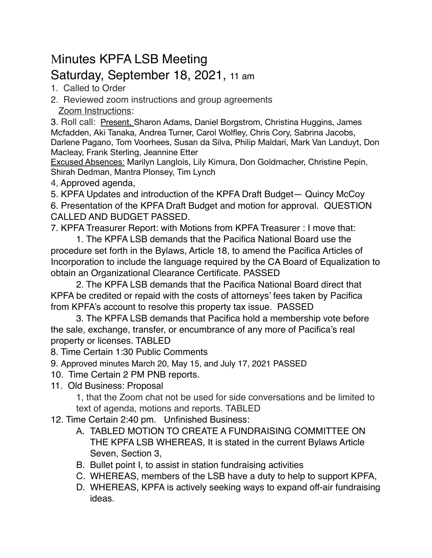## Minutes KPFA LSB Meeting Saturday, September 18, 2021, 11 am

- 1. Called to Order
- 2. Reviewed zoom instructions and group agreements Zoom Instructions:

3. Roll call: Present, Sharon Adams, Daniel Borgstrom, Christina Huggins, James Mcfadden, Aki Tanaka, Andrea Turner, Carol Wolfley, Chris Cory, Sabrina Jacobs, Darlene Pagano, Tom Voorhees, Susan da Silva, Philip Maldari, Mark Van Landuyt, Don Macleay, Frank Sterling, Jeannine Etter

Excused Absences: Marilyn Langlois, Lily Kimura, Don Goldmacher, Christine Pepin, Shirah Dedman, Mantra Plonsey, Tim Lynch

4, Approved agenda,

5. KPFA Updates and introduction of the KPFA Draft Budget— Quincy McCoy

6. Presentation of the KPFA Draft Budget and motion for approval. QUESTION CALLED AND BUDGET PASSED.

7. KPFA Treasurer Report: with Motions from KPFA Treasurer : I move that:

1. The KPFA LSB demands that the Pacifica National Board use the procedure set forth in the Bylaws, Article 18, to amend the Pacifica Articles of Incorporation to include the language required by the CA Board of Equalization to obtain an Organizational Clearance Certificate. PASSED

2. The KPFA LSB demands that the Pacifica National Board direct that KPFA be credited or repaid with the costs of attorneys' fees taken by Pacifica from KPFA's account to resolve this property tax issue. PASSED

3. The KPFA LSB demands that Pacifica hold a membership vote before the sale, exchange, transfer, or encumbrance of any more of Pacifica's real property or licenses. TABLED

8. Time Certain 1:30 Public Comments

9. Approved minutes March 20, May 15, and July 17, 2021 PASSED

- 10. Time Certain 2 PM PNB reports.
- 11. Old Business: Proposal

1, that the Zoom chat not be used for side conversations and be limited to text of agenda, motions and reports. TABLED

12. Time Certain 2:40 pm. Unfinished Business:

- A. TABLED MOTION TO CREATE A FUNDRAISING COMMITTEE ON THE KPFA LSB WHEREAS, It is stated in the current Bylaws Article Seven, Section 3,
- B. Bullet point I, to assist in station fundraising activities
- C. WHEREAS, members of the LSB have a duty to help to support KPFA,
- D. WHEREAS, KPFA is actively seeking ways to expand off-air fundraising ideas.